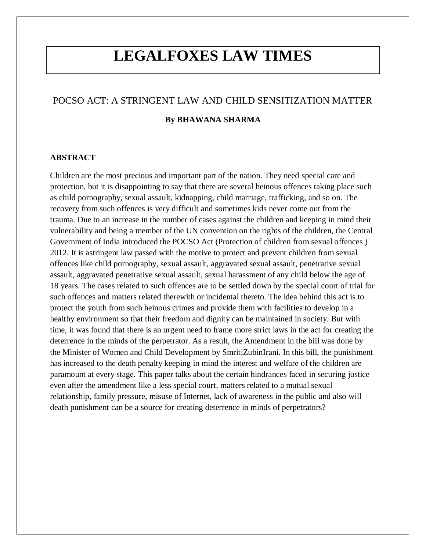# **LEGALFOXES LAW TIMES**

# POCSO ACT: A STRINGENT LAW AND CHILD SENSITIZATION MATTER **By BHAWANA SHARMA**

## **ABSTRACT**

Children are the most precious and important part of the nation. They need special care and protection, but it is disappointing to say that there are several heinous offences taking place such as child pornography, sexual assault, kidnapping, child marriage, trafficking, and so on. The recovery from such offences is very difficult and sometimes kids never come out from the trauma. Due to an increase in the number of cases against the children and keeping in mind their vulnerability and being a member of the UN convention on the rights of the children, the Central Government of India introduced the POCSO Act (Protection of children from sexual offences ) 2012. It is astringent law passed with the motive to protect and prevent children from sexual offences like child pornography, sexual assault, aggravated sexual assault, penetrative sexual assault, aggravated penetrative sexual assault, sexual harassment of any child below the age of 18 years. The cases related to such offences are to be settled down by the special court of trial for such offences and matters related therewith or incidental thereto. The idea behind this act is to protect the youth from such heinous crimes and provide them with facilities to develop in a healthy environment so that their freedom and dignity can be maintained in society. But with time, it was found that there is an urgent need to frame more strict laws in the act for creating the deterrence in the minds of the perpetrator. As a result, the Amendment in the bill was done by the Minister of Women and Child Development by SmritiZubinIrani. In this bill, the punishment has increased to the death penalty keeping in mind the interest and welfare of the children are paramount at every stage. This paper talks about the certain hindrances faced in securing justice even after the amendment like a less special court, matters related to a mutual sexual relationship, family pressure, misuse of Internet, lack of awareness in the public and also will death punishment can be a source for creating deterrence in minds of perpetrators?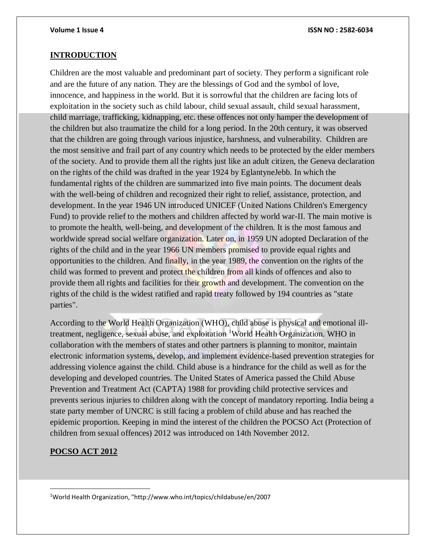### **INTRODUCTION**

Children are the most valuable and predominant part of society. They perform a significant role and are the future of any nation. They are the blessings of God and the symbol of love, innocence, and happiness in the world. But it is sorrowful that the children are facing lots of exploitation in the society such as child labour, child sexual assault, child sexual harassment, child marriage, trafficking, kidnapping, etc. these offences not only hamper the development of the children but also traumatize the child for a long period. In the 20th century, it was observed that the children are going through various injustice, harshness, and vulnerability. Children are the most sensitive and frail part of any country which needs to be protected by the elder members of the society. And to provide them all the rights just like an adult citizen, the Geneva declaration on the rights of the child was drafted in the year 1924 by EglantyneJebb. In which the fundamental rights of the children are summarized into five main points. The document deals with the well-being of children and recognized their right to relief, assistance, protection, and development. In the year 1946 UN introduced UNICEF (United Nations Children's Emergency Fund) to provide relief to the mothers and children affected by world war-II. The main motive is to promote the health, well-being, and development of the children. It is the most famous and worldwide spread social welfare organization. Later on, in 1959 UN adopted Declaration of the rights of the child and in the year 1966 UN members promised to provide equal rights and opportunities to the children. And finally, in the year 1989, the convention on the rights of the child was formed to prevent and protect the children from all kinds of offences and also to provide them all rights and facilities for their growth and development. The convention on the rights of the child is the widest ratified and rapid treaty followed by 194 countries as "state parties".

According to the World Health Organization (WHO), child abuse is physical and emotional illtreatment, negligence, sexual abuse, and exploitation <sup>1</sup>World Health Organization. WHO in collaboration with the members of states and other partners is planning to monitor, maintain electronic information systems, develop, and implement evidence-based prevention strategies for addressing violence against the child. Child abuse is a hindrance for the child as well as for the developing and developed countries. The United States of America passed the Child Abuse Prevention and Treatment Act (CAPTA) 1988 for providing child protective services and prevents serious injuries to children along with the concept of mandatory reporting. India being a state party member of UNCRC is still facing a problem of child abuse and has reached the epidemic proportion. Keeping in mind the interest of the children the POCSO Act (Protection of children from sexual offences) 2012 was introduced on 14th November 2012.

### **POCSO ACT 2012**

 $\overline{a}$ 

1World Health Organization, "http://www.who.int/topics/childabuse/en/2007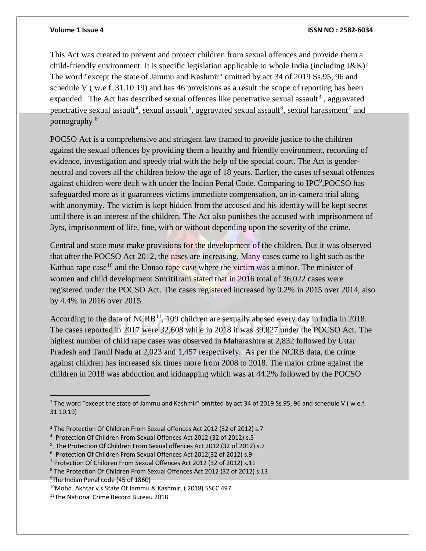### **Volume 1 Issue 4 ISSN NO : 2582-6034**

This Act was created to prevent and protect children from sexual offences and provide them a child-friendly environment. It is specific legislation applicable to whole India (including  $J\&K$ )<sup>2</sup> The word "except the state of Jammu and Kashmir" omitted by act 34 of 2019 Ss.95, 96 and schedule V ( w.e.f. 31.10.19) and has 46 provisions as a result the scope of reporting has been expanded. The Act has described sexual offences like penetrative sexual assault<sup>3</sup>, aggravated penetrative sexual assault<sup>4</sup>, sexual assault<sup>5</sup>, aggravated sexual assault<sup>6</sup>, sexual harassment<sup>7</sup> and pornography <sup>8</sup>

POCSO Act is a comprehensive and stringent law framed to provide justice to the children against the sexual offences by providing them a healthy and friendly environment, recording of evidence, investigation and speedy trial with the help of the special court. The Act is genderneutral and covers all the children below the age of 18 years. Earlier, the cases of sexual offences against children were dealt with under the Indian Penal Code. Comparing to IPC<sup>9</sup>, POCSO has safeguarded more as it guarantees victims immediate compensation, an in-camera trial along with anonymity. The victim is kept hidden from the accused and his identity will be kept secret until there is an interest of the children. The Act also punishes the accused with imprisonment of 3yrs, imprisonment of life, fine, with or without depending upon the severity of the crime.

Central and state must make provisions for the development of the children. But it was observed that after the POCSO Act 2012, the cases are increasing. Many cases came to light such as the Kathua rape case<sup>10</sup> and the Unnao rape case where the victim was a minor. The minister of women and child development SmritiIrani stated that in 2016 total of 36,022 cases were registered under the POCSO Act. The cases registered increased by 0.2% in 2015 over 2014, also by 4.4% in 2016 over 2015.

According to the data of NCRB<sup>11</sup>, 109 children are sexually abused every day in India in 2018. The cases reported in 2017 were 32,608 while in 2018 it was 39,827 under the POCSO Act. The highest number of child rape cases was observed in Maharashtra at 2,832 followed by Uttar Pradesh and Tamil Nadu at 2,023 and 1,457 respectively. As per the NCRB data, the crime against children has increased six times more from 2008 to 2018. The major crime against the children in 2018 was abduction and kidnapping which was at 44.2% followed by the POCSO

 $\overline{a}$ 

<sup>&</sup>lt;sup>2</sup> The word "except the state of Jammu and Kashmir" omitted by act 34 of 2019 Ss.95, 96 and schedule V (w.e.f. 31.10.19)

<sup>&</sup>lt;sup>3</sup> The Protection Of Children From Sexual offences Act 2012 (32 of 2012) s.7

<sup>4</sup> Protection Of Children From Sexual Offences Act 2012 (32 of 2012) s.5

<sup>5</sup> The Protection Of Children From Sexual offences Act 2012 (32 of 2012) s.7

<sup>6</sup> Protection Of Children From Sexual Offences Act 2012(32 of 2012) s.9

<sup>7</sup> Protection Of Children From Sexual Offences Act 2012 (32 of 2012) s.11

<sup>8</sup> The Protection Of Children From Sexual Offences Act 2012 (32 of 2012) s.13

<sup>&</sup>lt;sup>9</sup>The Indian Penal code (45 of 1860)

<sup>10</sup>Mohd. Akhtar v.s State Of Jammu & Kashmir, ( 2018) 5SCC 497

<sup>11</sup>The National Crime Record Bureau 2018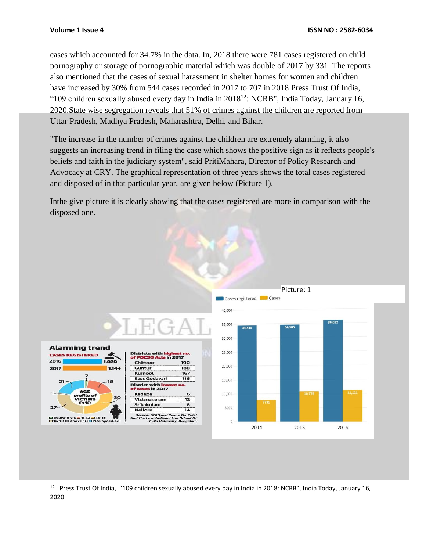### **Volume 1 Issue 4 ISSN NO : 2582-6034**

cases which accounted for 34.7% in the data. In, 2018 there were 781 cases registered on child pornography or storage of pornographic material which was double of 2017 by 331. The reports also mentioned that the cases of sexual harassment in shelter homes for women and children have increased by 30% from 544 cases recorded in 2017 to 707 in 2018 Press Trust Of India, "109 children sexually abused every day in India in  $2018^{12}$ : NCRB", India Today, January 16, 2020.State wise segregation reveals that 51% of crimes against the children are reported from Uttar Pradesh, Madhya Pradesh, Maharashtra, Delhi, and Bihar.

"The increase in the number of crimes against the children are extremely alarming, it also suggests an increasing trend in filing the case which shows the positive sign as it reflects people's beliefs and faith in the judiciary system", said PritiMahara, Director of Policy Research and Advocacy at CRY. The graphical representation of three years shows the total cases registered and disposed of in that particular year, are given below (Picture 1).

Inthe give picture it is clearly showing that the cases registered are more in comparison with the disposed one.



l  $12$  Press Trust Of India, "109 children sexually abused every day in India in 2018: NCRB", India Today, January 16, 2020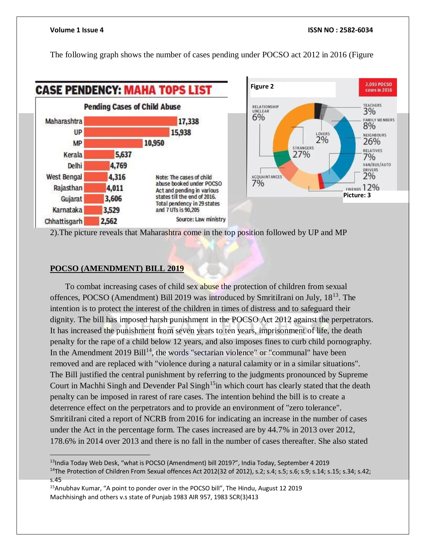The following graph shows the number of cases pending under POCSO act 2012 in 2016 (Figure





2).The picture reveals that Maharashtra come in the top position followed by UP and MP

### **POCSO (AMENDMENT) BILL 2019**

 $\overline{a}$ 

To combat increasing cases of child sex abuse the protection of children from sexual offences, POCSO (Amendment) Bill 2019 was introduced by SmritiIrani on July, 18<sup>13</sup>. The intention is to protect the interest of the children in times of distress and to safeguard their dignity. The bill has imposed harsh punishment in the POCSO Act 2012 against the perpetrators. It has increased the punishment from seven years to ten years, imprisonment of life, the death penalty for the rape of a child below 12 years, and also imposes fines to curb child pornography. In the Amendment  $2019$  Bill<sup>14</sup>, the words "sectarian violence" or "communal" have been removed and are replaced with "violence during a natural calamity or in a similar situations". The Bill justified the central punishment by referring to the judgments pronounced by Supreme Court in Machhi Singh and Devender Pal Singh<sup>15</sup>in which court has clearly stated that the death penalty can be imposed in rarest of rare cases. The intention behind the bill is to create a deterrence effect on the perpetrators and to provide an environment of "zero tolerance". SmritiIrani cited a report of NCRB from 2016 for indicating an increase in the number of cases under the Act in the percentage form. The cases increased are by 44.7% in 2013 over 2012, 178.6% in 2014 over 2013 and there is no fall in the number of cases thereafter. She also stated

<sup>13</sup>India Today Web Desk, "what is POCSO (Amendment) bill 2019?", India Today, September 4 2019 <sup>14</sup>The Protection of Children From Sexual offences Act 2012(32 of 2012), s.2; s.4; s.5; s.6; s.9; s.14; s.15; s.34; s.42; s.45

<sup>&</sup>lt;sup>15</sup>Anubhav Kumar, "A point to ponder over in the POCSO bill", The Hindu, August 12 2019 Machhisingh and others v.s state of Punjab 1983 AIR 957, 1983 SCR(3)413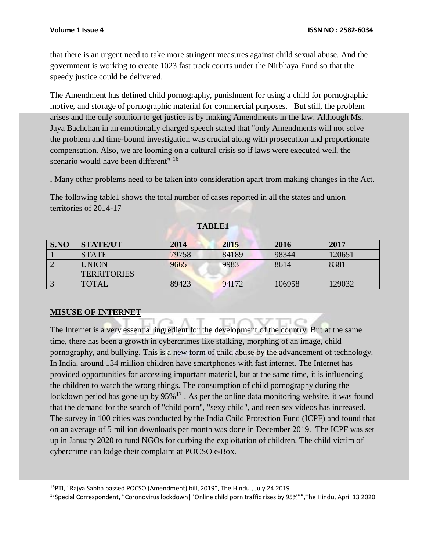that there is an urgent need to take more stringent measures against child sexual abuse. And the government is working to create 1023 fast track courts under the Nirbhaya Fund so that the speedy justice could be delivered.

The Amendment has defined child pornography, punishment for using a child for pornographic motive, and storage of pornographic material for commercial purposes. But still, the problem arises and the only solution to get justice is by making Amendments in the law. Although Ms. Jaya Bachchan in an emotionally charged speech stated that "only Amendments will not solve the problem and time-bound investigation was crucial along with prosecution and proportionate compensation. Also, we are looming on a cultural crisis so if laws were executed well, the scenario would have been different" <sup>16</sup>

**.** Many other problems need to be taken into consideration apart from making changes in the Act.

The following table1 shows the total number of cases reported in all the states and union territories of 2014-17

| S.NO | <b>STATE/UT</b>    | 2014  | 2015  | 2016   | 2017   |
|------|--------------------|-------|-------|--------|--------|
|      | <b>STATE</b>       | 79758 | 84189 | 98344  | 120651 |
|      | <b>UNION</b>       | 9665  | 9983  | 8614   | 8381   |
|      | <b>TERRITORIES</b> |       |       |        |        |
|      | <b>TOTAL</b>       | 89423 | 94172 | 106958 | 129032 |

**TABLE1**

## **MISUSE OF INTERNET**

l

The Internet is a very essential ingredient for the development of the country. But at the same time, there has been a growth in cybercrimes like stalking, morphing of an image, child pornography, and bullying. This is a new form of child abuse by the advancement of technology. In India, around 134 million children have smartphones with fast internet. The Internet has provided opportunities for accessing important material, but at the same time, it is influencing the children to watch the wrong things. The consumption of child pornography during the lockdown period has gone up by  $95\%^{17}$ . As per the online data monitoring website, it was found that the demand for the search of "child porn", "sexy child", and teen sex videos has increased. The survey in 100 cities was conducted by the India Child Protection Fund (ICPF) and found that on an average of 5 million downloads per month was done in December 2019. The ICPF was set up in January 2020 to fund NGOs for curbing the exploitation of children. The child victim of cybercrime can lodge their complaint at POCSO e-Box.

<sup>16</sup>PTI, "Rajya Sabha passed POCSO (Amendment) bill, 2019", The Hindu , July 24 2019

<sup>17</sup>Special Correspondent, "Coronovirus lockdown| 'Online child porn traffic rises by 95%"", The Hindu, April 13 2020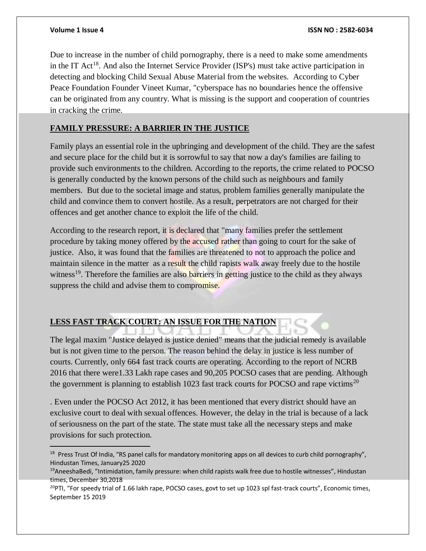$\overline{a}$ 

Due to increase in the number of child pornography, there is a need to make some amendments in the IT Act<sup>18</sup>. And also the Internet Service Provider (ISP's) must take active participation in detecting and blocking Child Sexual Abuse Material from the websites. According to Cyber Peace Foundation Founder Vineet Kumar, "cyberspace has no boundaries hence the offensive can be originated from any country. What is missing is the support and cooperation of countries in cracking the crime.

## **FAMILY PRESSURE: A BARRIER IN THE JUSTICE**

Family plays an essential role in the upbringing and development of the child. They are the safest and secure place for the child but it is sorrowful to say that now a day's families are failing to provide such environments to the children. According to the reports, the crime related to POCSO is generally conducted by the known persons of the child such as neighbours and family members. But due to the societal image and status, problem families generally manipulate the child and convince them to convert hostile. As a result, perpetrators are not charged for their offences and get another chance to exploit the life of the child.

According to the research report, it is declared that "many families prefer the settlement procedure by taking money offered by the accused rather than going to court for the sake of justice. Also, it was found that the families are threatened to not to approach the police and maintain silence in the matter as a result the child rapists walk away freely due to the hostile witness<sup>19</sup>. Therefore the families are also barriers in getting justice to the child as they always suppress the child and advise them to compromise.

# **LESS FAST TRACK COURT: AN ISSUE FOR THE NATION**

The legal maxim "Justice delayed is justice denied" means that the judicial remedy is available but is not given time to the person. The reason behind the delay in justice is less number of courts. Currently, only 664 fast track courts are operating. According to the report of NCRB 2016 that there were1.33 Lakh rape cases and 90,205 POCSO cases that are pending. Although the government is planning to establish 1023 fast track courts for POCSO and rape victims<sup>20</sup>

. Even under the POCSO Act 2012, it has been mentioned that every district should have an exclusive court to deal with sexual offences. However, the delay in the trial is because of a lack of seriousness on the part of the state. The state must take all the necessary steps and make provisions for such protection.

<sup>&</sup>lt;sup>18</sup> Press Trust Of India, "RS panel calls for mandatory monitoring apps on all devices to curb child pornography", Hindustan Times, January25 2020

 $19$ AneeshaBedi, "Intimidation, family pressure: when child rapists walk free due to hostile witnesses", Hindustan times, December 30,2018

<sup>&</sup>lt;sup>20</sup>PTI, "For speedy trial of 1.66 lakh rape, POCSO cases, govt to set up 1023 spl fast-track courts", Economic times, September 15 2019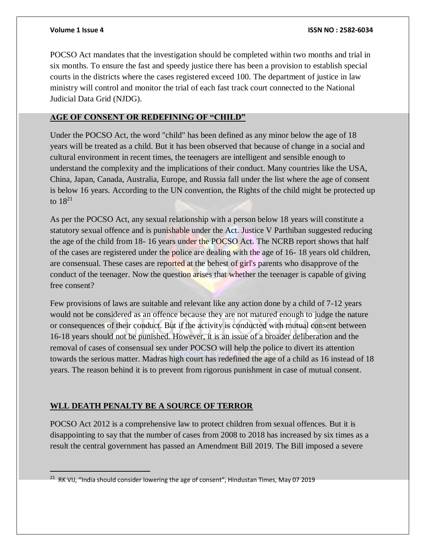POCSO Act mandates that the investigation should be completed within two months and trial in six months. To ensure the fast and speedy justice there has been a provision to establish special courts in the districts where the cases registered exceed 100. The department of justice in law ministry will control and monitor the trial of each fast track court connected to the National Judicial Data Grid (NJDG).

## **AGE OF CONSENT OR REDEFINING OF "CHILD"**

Under the POCSO Act, the word "child" has been defined as any minor below the age of 18 years will be treated as a child. But it has been observed that because of change in a social and cultural environment in recent times, the teenagers are intelligent and sensible enough to understand the complexity and the implications of their conduct. Many countries like the USA, China, Japan, Canada, Australia, Europe, and Russia fall under the list where the age of consent is below 16 years. According to the UN convention, the Rights of the child might be protected up to 18<sup>21</sup>

As per the POCSO Act, any sexual relationship with a person below 18 years will constitute a statutory sexual offence and is punishable under the Act. Justice V Parthiban suggested reducing the age of the child from 18- 16 years under the POCSO Act. The NCRB report shows that half of the cases are registered under the police are dealing with the age of 16- 18 years old children, are consensual. These cases are reported at the behest of girl's parents who disapprove of the conduct of the teenager. Now the question arises that whether the teenager is capable of giving free consent?

Few provisions of laws are suitable and relevant like any action done by a child of 7-12 years would not be considered as an offence because they are not matured enough to judge the nature or consequences of their conduct. But if the activity is conducted with mutual consent between 16-18 years should not be punished. However, it is an issue of a broader deliberation and the removal of cases of consensual sex under POCSO will help the police to divert its attention towards the serious matter. Madras high court has redefined the age of a child as 16 instead of 18 years. The reason behind it is to prevent from rigorous punishment in case of mutual consent.

# **WLL DEATH PENALTY BE A SOURCE OF TERROR**

POCSO Act 2012 is a comprehensive law to protect children from sexual offences. But it is disappointing to say that the number of cases from 2008 to 2018 has increased by six times as a result the central government has passed an Amendment Bill 2019. The Bill imposed a severe

<sup>&</sup>lt;sup>21</sup> RK VIJ, "India should consider lowering the age of consent", Hindustan Times, May 07 2019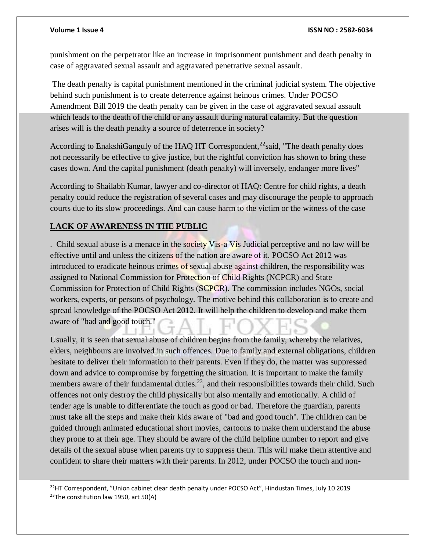l

punishment on the perpetrator like an increase in imprisonment punishment and death penalty in case of aggravated sexual assault and aggravated penetrative sexual assault.

The death penalty is capital punishment mentioned in the criminal judicial system. The objective behind such punishment is to create deterrence against heinous crimes. Under POCSO Amendment Bill 2019 the death penalty can be given in the case of aggravated sexual assault which leads to the death of the child or any assault during natural calamity. But the question arises will is the death penalty a source of deterrence in society?

According to EnakshiGanguly of the HAQ HT Correspondent,<sup>22</sup> said, "The death penalty does not necessarily be effective to give justice, but the rightful conviction has shown to bring these cases down. And the capital punishment (death penalty) will inversely, endanger more lives"

According to Shailabh Kumar, lawyer and co-director of HAQ: Centre for child rights, a death penalty could reduce the registration of several cases and may discourage the people to approach courts due to its slow proceedings. And can cause harm to the victim or the witness of the case

# **LACK OF AWARENESS IN THE PUBLIC**

. Child sexual abuse is a menace in the society Vis-a Vis Judicial perceptive and no law will be effective until and unless the citizens of the nation are aware of it. POCSO Act 2012 was introduced to eradicate heinous crimes of sexual abuse against children, the responsibility was assigned to National Commission for Protection of Child Rights (NCPCR) and State Commission for Protection of Child Rights (SCPCR). The commission includes NGOs, social workers, experts, or persons of psychology. The motive behind this collaboration is to create and spread knowledge of the POCSO Act 2012. It will help the children to develop and make them aware of "bad and good touch."

Usually, it is seen that sexual abuse of children begins from the family, whereby the relatives, elders, neighbours are involved in such offences. Due to family and external obligations, children hesitate to deliver their information to their parents. Even if they do, the matter was suppressed down and advice to compromise by forgetting the situation. It is important to make the family members aware of their fundamental duties.<sup>23</sup>, and their responsibilities towards their child. Such offences not only destroy the child physically but also mentally and emotionally. A child of tender age is unable to differentiate the touch as good or bad. Therefore the guardian, parents must take all the steps and make their kids aware of "bad and good touch". The children can be guided through animated educational short movies, cartoons to make them understand the abuse they prone to at their age. They should be aware of the child helpline number to report and give details of the sexual abuse when parents try to suppress them. This will make them attentive and confident to share their matters with their parents. In 2012, under POCSO the touch and non-

 $^{22}$ HT Correspondent, "Union cabinet clear death penalty under POCSO Act", Hindustan Times, July 10 2019  $23$ The constitution law 1950, art 50(A)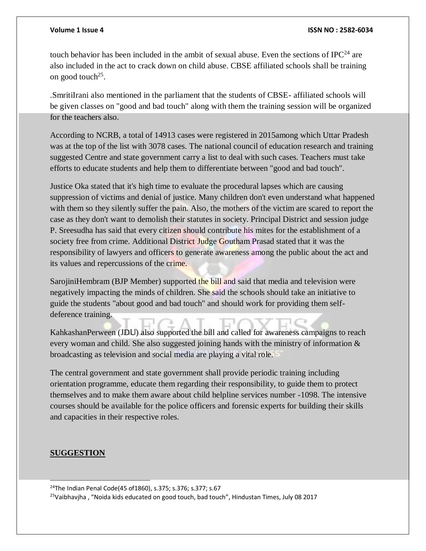touch behavior has been included in the ambit of sexual abuse. Even the sections of IPC<sup>24</sup> are also included in the act to crack down on child abuse. CBSE affiliated schools shall be training on good touch<sup>25</sup>.

.SmritiIrani also mentioned in the parliament that the students of CBSE- affiliated schools will be given classes on "good and bad touch" along with them the training session will be organized for the teachers also.

According to NCRB, a total of 14913 cases were registered in 2015among which Uttar Pradesh was at the top of the list with 3078 cases. The national council of education research and training suggested Centre and state government carry a list to deal with such cases. Teachers must take efforts to educate students and help them to differentiate between "good and bad touch".

Justice Oka stated that it's high time to evaluate the procedural lapses which are causing suppression of victims and denial of justice. Many children don't even understand what happened with them so they silently suffer the pain. Also, the mothers of the victim are scared to report the case as they don't want to demolish their statutes in society. Principal District and session judge P. Sreesudha has said that every citizen should contribute his mites for the establishment of a society free from crime. Additional District Judge Goutham Prasad stated that it was the responsibility of lawyers and officers to generate awareness among the public about the act and its values and repercussions of the crime.

SarojiniHembram (BJP Member) supported the bill and said that media and television were negatively impacting the minds of children. She said the schools should take an initiative to guide the students "about good and bad touch" and should work for providing them selfdeference training.

KahkashanPerween (JDU) also supported the bill and called for awareness campaigns to reach every woman and child. She also suggested joining hands with the ministry of information & broadcasting as television and social media are playing a vital role.

The central government and state government shall provide periodic training including orientation programme, educate them regarding their responsibility, to guide them to protect themselves and to make them aware about child helpline services number -1098. The intensive courses should be available for the police officers and forensic experts for building their skills and capacities in their respective roles.

## **SUGGESTION**

l

<sup>24</sup>The Indian Penal Code(45 of 1860), s.375; s.376; s.377; s.67

<sup>25</sup>Vaibhavjha, "Noida kids educated on good touch, bad touch", Hindustan Times, July 08 2017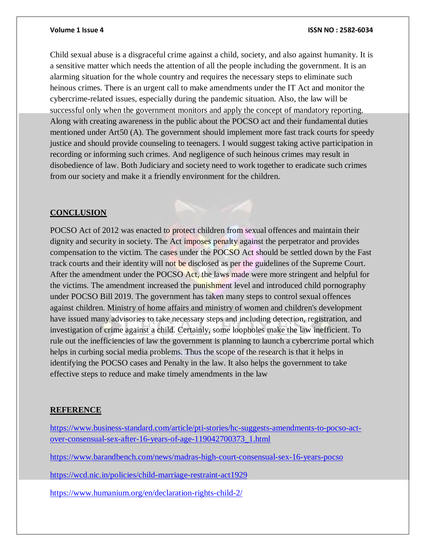Child sexual abuse is a disgraceful crime against a child, society, and also against humanity. It is a sensitive matter which needs the attention of all the people including the government. It is an alarming situation for the whole country and requires the necessary steps to eliminate such heinous crimes. There is an urgent call to make amendments under the IT Act and monitor the cybercrime-related issues, especially during the pandemic situation. Also, the law will be successful only when the government monitors and apply the concept of mandatory reporting. Along with creating awareness in the public about the POCSO act and their fundamental duties mentioned under Art50 (A). The government should implement more fast track courts for speedy justice and should provide counseling to teenagers. I would suggest taking active participation in recording or informing such crimes. And negligence of such heinous crimes may result in disobedience of law. Both Judiciary and society need to work together to eradicate such crimes from our society and make it a friendly environment for the children.

### **CONCLUSION**

POCSO Act of 2012 was enacted to protect children from sexual offences and maintain their dignity and security in society. The Act imposes penalty against the perpetrator and provides compensation to the victim. The cases under the POCSO Act should be settled down by the Fast track courts and their identity will not be disclosed as per the guidelines of the Supreme Court. After the amendment under the POCSO Act, the laws made were more stringent and helpful for the victims. The amendment increased the punishment level and introduced child pornography under POCSO Bill 2019. The government has taken many steps to control sexual offences against children. Ministry of home affairs and ministry of women and children's development have issued many advisories to take necessary steps and including detection, registration, and investigation of crime against a child. Certainly, some loopholes make the law inefficient. To rule out the inefficiencies of law the government is planning to launch a cybercrime portal which helps in curbing social media problems. Thus the scope of the research is that it helps in identifying the POCSO cases and Penalty in the law. It also helps the government to take effective steps to reduce and make timely amendments in the law

### **REFERENCE**

[https://www.business-standard.com/article/pti-stories/hc-suggests-amendments-to-pocso-act](https://www.business-standard.com/article/pti-stories/hc-suggests-amendments-to-pocso-act-over-consensual-sex-after-16-years-of-age-119042700373_1.html)[over-consensual-sex-after-16-years-of-age-119042700373\\_1.html](https://www.business-standard.com/article/pti-stories/hc-suggests-amendments-to-pocso-act-over-consensual-sex-after-16-years-of-age-119042700373_1.html)

<https://www.barandbench.com/news/madras-high-court-consensual-sex-16-years-pocso>

<https://wcd.nic.in/policies/child-marriage-restraint-act1929>

<https://www.humanium.org/en/declaration-rights-child-2/>